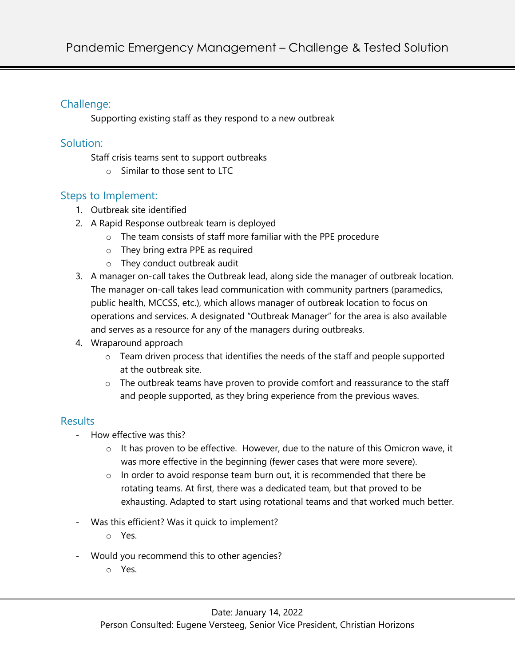## Challenge:

Supporting existing staff as they respond to a new outbreak

## Solution:

Staff crisis teams sent to support outbreaks

o Similar to those sent to LTC

## Steps to Implement:

- 1. Outbreak site identified
- 2. A Rapid Response outbreak team is deployed
	- o The team consists of staff more familiar with the PPE procedure
	- o They bring extra PPE as required
	- o They conduct outbreak audit
- 3. A manager on-call takes the Outbreak lead, along side the manager of outbreak location. The manager on-call takes lead communication with community partners (paramedics, public health, MCCSS, etc.), which allows manager of outbreak location to focus on operations and services. A designated "Outbreak Manager" for the area is also available and serves as a resource for any of the managers during outbreaks.
- 4. Wraparound approach
	- o Team driven process that identifies the needs of the staff and people supported at the outbreak site.
	- o The outbreak teams have proven to provide comfort and reassurance to the staff and people supported, as they bring experience from the previous waves.

# Results

- How effective was this?
	- o It has proven to be effective. However, due to the nature of this Omicron wave, it was more effective in the beginning (fewer cases that were more severe).
	- $\circ$  In order to avoid response team burn out, it is recommended that there be rotating teams. At first, there was a dedicated team, but that proved to be exhausting. Adapted to start using rotational teams and that worked much better.
- Was this efficient? Was it quick to implement?
	- o Yes.
- Would you recommend this to other agencies?
	- o Yes.